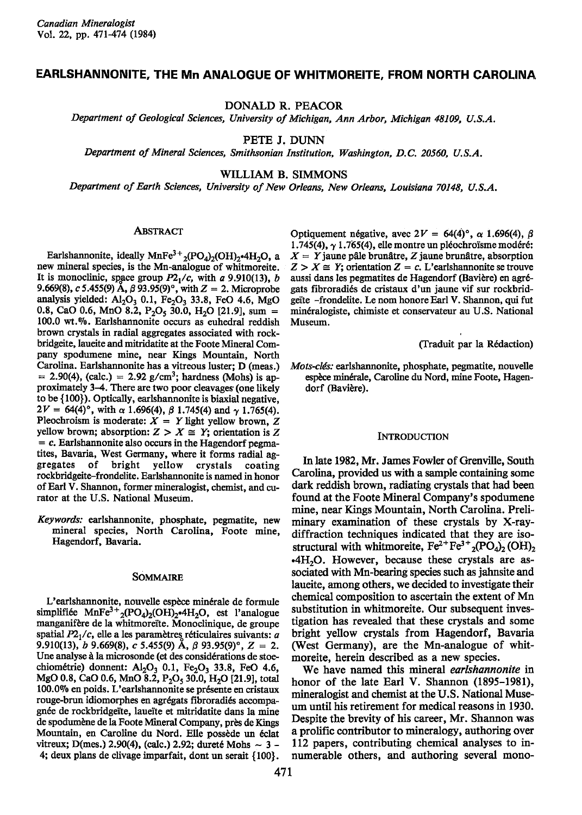# EARLSHANNONITE, THE Mn ANALOGUE OF WHITMOREITE, FROM NORTH CAROLINA

DONALD R. PEACOR

Department of Geological Sciences, University of Michigan, Ann Arbor, Michigan 48109, U.S.A.

PETE J. DUNN

Department of Mineral Sciences, Smithsonian Institution, Washington, D.C. 20560, U.S.A.

WILLIAM B. SIMMONS

Department of Earth Sciences, University of New Orleans, New Orleans, Louisiana 70148, U.S.A.

## **ABSTRACT**

Earlshannonite, ideally  $MnFe^{3+}{}_{2} (PO_{4})_{2} (OH)_{2}$ . a new mineral species, is the Mn-analogue of whitmoreite. It is monoclinic, space group  $P2<sub>1</sub>/c$ , with a 9.910(13), b 9.669(8), c 5.455(9) A,  $\beta$  93.95(9)°, with  $Z = 2$ . Microprobe analysis yielded:  $Al_2O_3$  0.1,  $Fe_2O_3$  33.8, FeO 4.6, MgO 0.8, CaO 0.6, MnO 8.2,  $P_2O_5$  30.0, H<sub>2</sub>O [21.9], sum = 100.0 wt.%. Earlshannonite occurs as euhedral reddish brown crystals in radial aggregates associated with rockbridgeite, laueite and mitridatite at tle Foote Mineral Company spodumene mine, near Kings Mountain, North Carolina. Earlshannonite has a vitreous luster; D (meas.)  $= 2.90(4)$ , (calc.)  $= 2.92$  g/cm<sup>3</sup>; hardness (Mohs) is approximately 3-4. There are two poor cleavages (one likely to be  $\{100\}$ ). Optically, earlshannonite is biaxial negative,  $2V = 64(4)$ °, with  $\alpha$  1.696(4),  $\beta$  1.745(4) and  $\gamma$  1.765(4). Pleochroism is moderate:  $X = Y$  light yellow brown, Z yellow brown; absorption:  $Z > X \cong Y$ ; orientation is Z  $= c$ . Earlshannonite also occurs in the Hagendorf pegmatites, Bavaria, West Germany, where it forms radial aggregates of bright yellow crystals coating gregates of bright yellow crystals coating rockbridgeite-frondelite. Earlshannonite is named in honor of Earl V. Shannon, former mineralogist, chemist, and curator at the U.S. National Museum.

Keywords: earlshannonite, phosphate, pegmatite, new mineral species, North Carolina, Foote mine, Hagendorf, Bavaria.

# SOMMAIRE

L'earlshannonite, nouvelle espèce minérale de formule simplifiée MnFe<sup>3+</sup><sub>2</sub>(PO<sub>4</sub>)<sub>2</sub>(OH)<sub>2</sub><sup>-4</sup>H<sub>2</sub>O, est l'analogue manganifère de la whitmoreïte. Monoclinique, de groupe spatial  $P2<sub>1</sub>/c$ , elle a les paramètres réticulaires suivants: a 9.910(13), b 9.669(8), c 5.455(9) A,  $\beta$  93.95(9)°, Z = 2. Une analyse à la microsonde (et des considérations de stoechiométrie) donnent:  $Al_2O_3$  0.1,  $Fe_2O_3$  33.8, FeO 4.6, MgO 0.8, CaO 0.6, MnO 8.2,  $P_2O_5$  30.0,  $H_2O$  [21.9], total 100.0% en poids. L'earlshannonite se présente en cristaux rouge-brun idiomorphes en agrégats fibroradiés accompagnée de rockbridgeïte, laueïte et mitridatite dans la mine de spodumène de la Foote Mineral Company, près de Kings Mountain, en Caroline du Nord. Elle possède un éclat vitreux; D(mes.) 2.90(4), (calc.) 2.92; dureté Mohs  $\sim 3$  -4; deux plans de clivage imparfait, dont un serait {1@}.

Optiquement négative, avec  $2V = 64(4)^\circ$ ,  $\alpha$  1.696(4), B  $1.745(4)$ ,  $\gamma$  1.765(4), elle montre un pléochroïsme modéré:  $X = Y$  jaune pâle brunâtre, Z jaune brunâtre, absorption  $Z > X \cong Y$ ; orientation  $Z = c$ . L'earlshannonite se trouve aussi dans les pegmatites de Hagendorf (Bavière) en agrégats fibroradids de cristaux d'un jaune vif sur rockbridgeite -frondelite. Le nom honore Earl V. Shannon, qui fut min6ralogiste, chimiste et conservateur au U.S. National Museum.

(Traduit par la Rédaction)

Mots-clés: earlshannonite, phosphate, pegmatite, nouvelle espèce minérale, Caroline du Nord, mine Foote, Hagendorf (Bavière).

### **INTRODUCTION**

In late 1982, Mr. James Fowler of Grenville, South Carolina, provided us with a sample containing some dark reddish brown, radiating crystals that had been found at the Foote Mineral Company's spodumene mine, near Kings Mountain, North Carolina. Preliminary examination of these crystals by X-raydiffraction techniques indicated that they are isostructural with whitmoreite,  $Fe^{2+}Fe^{3+}{}_{2} (PO_{4})_{2} (OH)_{2}$ .4H2O. However, because these crystals are associated with Mn-bearing species such as jahnsite and laueite, among others, we decided to investigate their chemical composition to ascertain the extent of Mn substitution in whitmoreite. Our subsequent investigation has revealed that these crystals and some bright yellow crystals from Hagendorf, Bavaria (West Germany), are the Mn-analogue of whitmoreite, herein described as a new species.

We have named this mineral earlshannonite in honor of the late Earl V. Shannon (1895-1981), mineralogist and chemist at the U.S. National Museum until his retirement for medical reasons in 1930. Despite the brevity of his career, Mr. Shannon was a prolific contributor to mineralogy, authoring over 112 papers, contributing chemical analyses to innumerable others, and authoring several mono-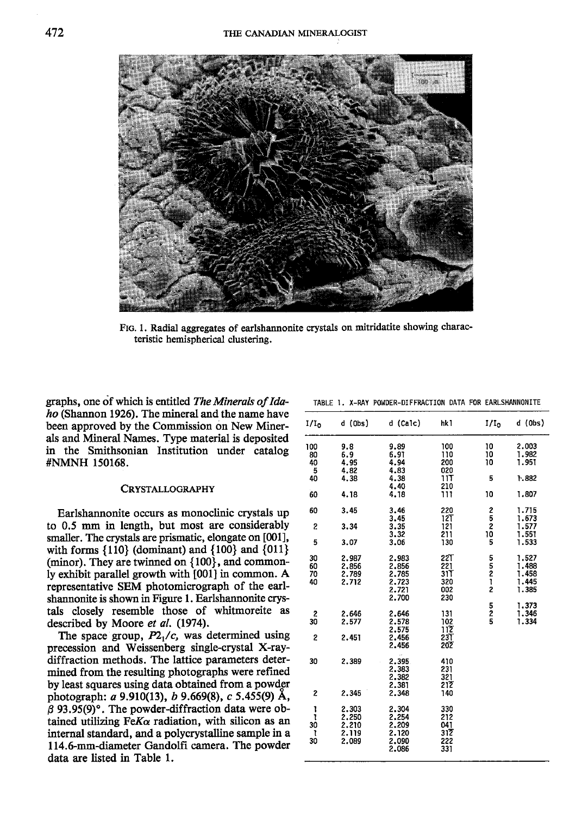

FIG. 1. Radial aggregates of earlshannonite crystals on mitridatite showing characteristic hemispherical clustering,

graphs, one of which is entitled The Minerals of Ida $ho$  (Shannon 1926). The mineral and the name have been approved by the Commission on New Minerals and Mineral Names. Type material is deposited in the Smithsonian Institution under catalog #NMNH 150168.

## CRYSTALLOGRAPHY

Earlshannonite occurs as monoclinic crystals up to 0.5 mm in length, but most are considerably smaller. The crystals are prismatic, elongate on [001], with forms  $\{110\}$  (dominant) and  $\{100\}$  and  $\{011\}$ (minor). They are twinned on  ${100}$ , and commonly exhibit parallel growth with [001] in common. A representative SEM photomicrograph of the earlshannonite is shown in Figure l. Earlshannonite crystals closely resemble those of whitmoreite as described by Moore et al. (1974).

The space group,  $P2<sub>1</sub>/c$ , was determined using precession and Weissenberg single-crystal X-raydiffraction methods. The lattice parameters determined from the resulting photographs were refined by least squares using data obtained from a powder photograph: a 9.910(13), b 9.669(8), c 5.455(9) A,  $\beta$  93.95(9)°. The powder-diffraction data were obtained utilizing Fe $K\alpha$  radiation, with silicon as an internal standard, and a polycrystalline sample in a 114.6-mm-diameter Gandolfi camera. The powder data are listed in Table 1.

| 1/I <sub>0</sub>                 | $d$ (Obs)                                  | d (Calc)                                             | hk 1                                          | $1/I_0$                            | d (Obs)                                   |
|----------------------------------|--------------------------------------------|------------------------------------------------------|-----------------------------------------------|------------------------------------|-------------------------------------------|
| 100<br>80<br>40<br>5<br>40<br>60 | 9.8<br>6.9<br>4.95<br>4.82<br>4.38<br>4.18 | 9.89<br>6.91<br>4.94<br>4.83<br>4.38<br>4.40<br>4.18 | 100<br>110<br>200<br>020<br>11T<br>210<br>111 | 10<br>10<br>10<br>5<br>10          | 2.003<br>1.982<br>1.951<br>1.882<br>1.807 |
| 60                               | 3.45                                       | 3.46                                                 | 220                                           | 2                                  | 1.715                                     |
| 2<br>5                           | 3.34<br>3.07                               | 3.45<br>3.35<br>3.32<br>3.06                         | 121<br>121<br>211<br>130                      | 5<br>2<br>10<br>5                  | 1.673<br>1.577<br>1.551<br>1.533          |
| 30<br>60<br>70<br>40             | 2.987<br>2,856<br>2.789<br>2.712           | 2.983<br>2.856<br>2.785<br>2.723<br>2.721<br>2.700   | 22T<br>221<br>31T<br>320<br>002<br>230        | 5<br>5<br>2<br>1<br>$\overline{c}$ | 1.527<br>1.488<br>1.458<br>1.445<br>1.385 |
| 2<br>30<br>2                     | 2.646<br>2.577<br>2,451                    | 2,646<br>2,578<br>2.575<br>2.456<br>2.456            | 131<br>102<br>112<br>23T<br>202               | 5<br>$\frac{2}{5}$                 | 1.373<br>1,346<br>1.334                   |
| 30                               | 2.389                                      | à,<br>2.395<br>2.383<br>2.382<br>2.381               | 410<br>231<br>321<br>212                      |                                    |                                           |
| 2                                | 2.345                                      | 2.348                                                | 140                                           |                                    |                                           |
| 1<br>ı<br>30<br>ı<br>30          | 2.303<br>2,250<br>2.210<br>2.119<br>2.089  | 2,304<br>2.254<br>2.209<br>2.120<br>2.090<br>2.086   | 330<br>212<br>041<br>312<br>222<br>331        |                                    |                                           |

TABLE 1. X-RAY POWDER-DIFFRACTION DATA FOR EARLSHANNONITE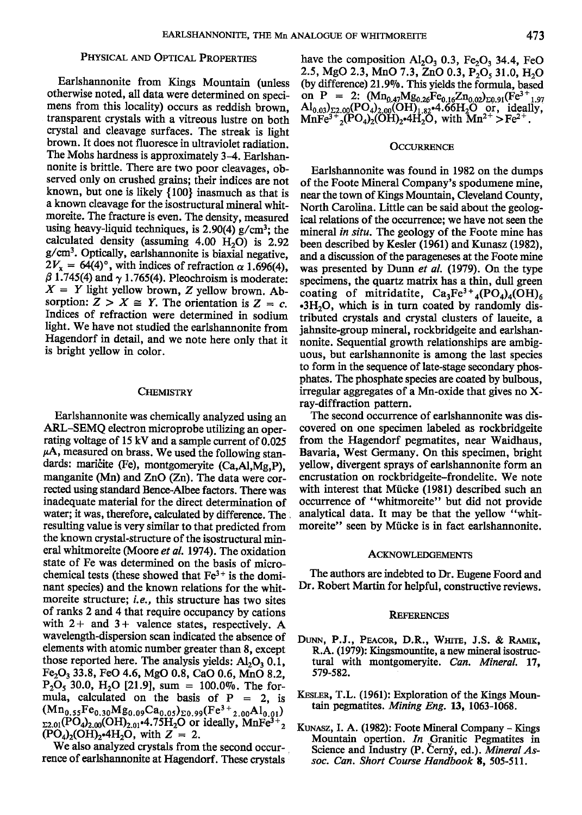# PHYSICAL AND OPTICAL PROPERTIES

Earlshannonite from Kings Mountain (unless otherwise noted, all data were determined on specimens from this locality) occurs as reddish brown, transparent crystals with a vitreous lustre on both crystal and cleavage surfaces. The streak is light brown. It does not fluoresce in ultraviolet radiation. The Mohs hardness is approximately 3-4. Earlshannonite is brittle. There are two poor cleavages, observed only on crushed grains; their indices are nor known, but one is likely {100} inasmuch as that is a known cleavage for the isostructural mineral whitmoreite. The fractue is even. The density, measured using heavy-liquid techniques, is  $2.90(4)$  g/cm<sup>3</sup>; the calculated density (assuming  $4.00$  H<sub>2</sub>O) is 2.92 g/cm3. Optically, earlshannonite is biaxial negative,  $2V_x = 64(4)^\circ$ , with indices of refraction  $\alpha$  1.696(4),  $\beta$  1.745(4) and  $\gamma$  1.765(4). Pleochroism is moderate:  $X = Y$  light yellow brown, Z yellow brown. Absorption:  $Z > X \cong Y$ . The orientation is  $Z = c$ . Indices of refraction were determined in sodium light. We have not studied the earlshannonite from Hagendorf in detail, and we note here only that it is bright yellow in color.

# **CHEMISTRY**

water; it was, therefore, calculated by difference. The analytical data. It may be that the yellow "whit-<br>resulting value is very similar to that predicted from more ite" seen by Mücke is in fact earls hannonite. resulting value is very similar to that predicted from the known crystal-structure of the isostructural mineral whitmoreite (Moore et al. 1974). The oxidation ACKNOWLEDGEMENTS state of Fe was determined on the basis of microchemical tests (these showed that  $Fe^{3+}$  is the domi-<br>nant species) and the known relations for the whit-<br> $Dr.$  Robert Martin for helpful, constructive reviews. nant species) and the known relations for the whitmoreite structure; i.e., this structure has two sites of ranks 2 and 4 that require occupancy by cations REFERENCES with  $2+$  and  $3+$  valence states, respectively. A wavelength-dispersion scan indicated the absence of wavelength-dispersion scan indicated the absence of DUNN, P.J., PEACOR, D.R., WHITE, J.S. & RAMIK, elements with atomic number greater than 8, except R.A. (1979): Kingsmountite, a new mineral isostructhose reported here. The analysis yields:  $Al_2O_3$  0.1, tural w<br>Fe<sub>2</sub>O<sub>3</sub> 33.8, FeO 4.6, MgO 0.8, CaO 0.6, MnO 8.2. 579-582. Fe<sub>2</sub>O<sub>3</sub> 33.8, FeO 4.6, MgO 0.8, CaO 0.6, MnO 8.2,  $P_2O_5$  30.0,  $H_2O$  [21.9], sum = 100.0%. The formula, calculated on the basis of  $p = 2$ , is KESLER, T.L. (1961): Exploration of the Kings Moun-<br>(Mn.  $E_{0.6}$ , Mn.  $C_{0.6}$ , L. (1963<sup>+</sup> Al.) tain pegmatites. *Mining Eng.* 13, 1063-1068.  $(Mn_{0.55}Fe_{0.30}Mg_{0.09}Ca_{0.05})_{\Sigma 0.99}(Fe^{3+}_{2.00}Al_{0.01})$ 

rence of earlshannonite at Hagendorf. These crystals

have the composition  $\text{Al}_2\text{O}_3$  0.3, Fe<sub>2</sub>O<sub>3</sub> 34.4, FeO 2.5, MgO 2.3, MnO 7.3, ZnO 0.3,  $P_2O_5$  31.0, H<sub>2</sub>O (by difference) 21.9%. This yields the formula, based on P = 2:  $(Mn_{0.47}Mg_{0.26}Fe_{0.16}Zn_{0.02})_{\Sigma 0.91}(Fe^{3+}{}_{1.97}$  $\text{Al}_{0.03}$ <sub>2.2.00</sub>(PO<sub>4</sub>)<sub>2.00</sub>(OH)<sub>1.82</sub>.4.66H<sub>2</sub>O or, ideally,  $\text{MnFe}^{3+}{}_{2}(\text{PO}_4)_{2}(\text{OH})_{2}$ -4H<sub>2</sub>O, with  $\text{Mn}^{2+}$  > Fe<sup>2+</sup>.

# **OCCURRENCE**

Earlshannonite was found in 1982 on the dumps of the Foote Mineral Company's spodumene mine, neax the town of Kings Mountain, Cleveland County, North Carolina. Little can be said about the geological relations of the occurrence; we have not seen the mineral in situ. The geology of the Foote mine has been described by Kesler (1961) and Kunasz (1982), and a discussion of the parageneses at the Foote mine was presented by Dunn et al. (1979). On the type specimens, the quartz matrix has a thin, dull green coating of mitridatite,  $Ca_3Fe^{3+}{}_{4}(PO_4)_{4}(OH)_6$  $-3H<sub>2</sub>O$ , which is in turn coated by randomly distributed crystals and crystal clusters of laueite, a jahnsite-group mineral, rockbridgeite and earlshannonite. Sequential growth relationships are ambiguous, but earlshannonite is among the last species to form in the sequence of late-stage secondary phosphates. The phosphate species are coated by bulbous, irregular aggregates of a Mn-oxide that gives no  $X$ ray-diffraction pattern.

Earlshannonite was chemically analyzed using an The second occurrence of earlshannonite was dis-<br>RL-SEMQ electron microprobe utilizing an oper-covered on one specimen labeled as rockbridgeite ARL-SEMQ electron microprobe utilizing an oper- covered on one specimen labeled as rockbridgeite rating voltage of 15 kV and a sample current of 0.025 from the Hagendorf pegmatites, near Waidhaus, rating voltage of 15 kV and a sample current of 0.025 from the Hagendorf pegmatites, near Waidhaus,  $\mu A$ , measured on brass. We used the following stan-Bavaria, West Germany. On this specimen, bright  $\mu$ A, measured on brass. We used the following stan-<br>dards: maricite (Fe), montgomeryite (Ca,Al,Mg,P) yellow, divergent sprays of earlshannonite form an dards: maričite (Fe), montgomeryite  $(Ca, A)$ ,  $\overline{M}g$ ,  $P$ ), yellow, divergent sprays of earlshannonite form an manganite (Mn) and  $ZnO$  (Zn). The data were cor-<br>encrustation on rockbridgeite-frondelite. We note manganite (Mn) and ZnO (Zn). The data were cor-<br>recrustation on rockbridgeite-frondelite. We note<br>rected using standard Bence-Albee factors. There was with interest that Mücke (1981) described such an rected using standard Bence-Albee factors. There was with interest that Mücke (1981) described such an inadequate material for the direct determination of occurrence of "whitmoreite" but did not provide inadequate material for the direct determination of occurrence of "whitmoreite" but did not provide water: it was therefore, calculated by difference. The analytical data. It may be that the vellow "whit-

- R.A. (1979): Kingsmountite, a new mineral isostruc-<br>tural with montgomeryite. Can. Mineral. 17,
- 
- $\frac{\Sigma_{2.01}(\widetilde{PO}_4)_2.00(\widetilde{OH})_2.01(\widetilde{PO}_4)_2(\widetilde{OH})_2.4H_2O$ , with  $Z = 2$ . Mountain opertion. *In* Granitic Pegmatites in We also analyzed crystals from the second occur- Steence and Industry (P. Cerný, ed.). *Mineral A*